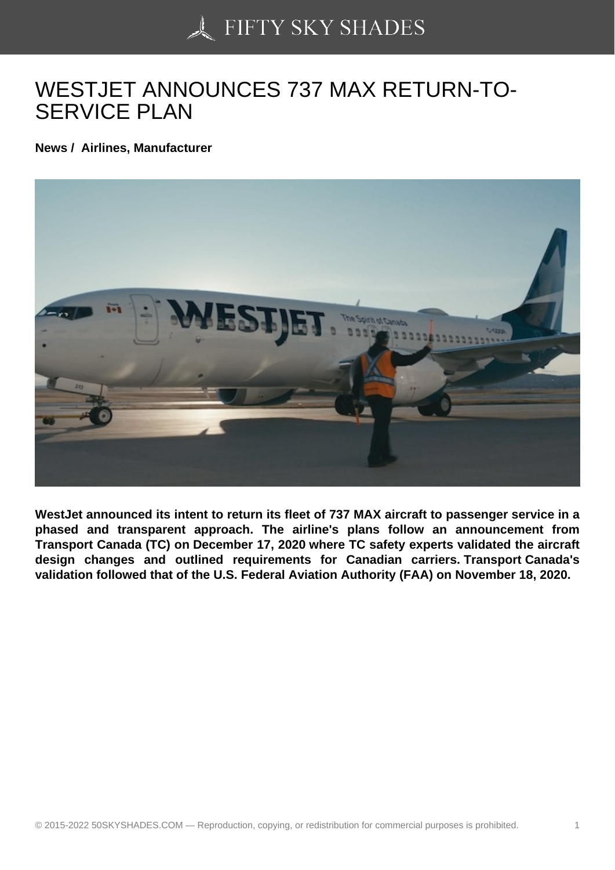## [WESTJET ANNOUNC](https://50skyshades.com)ES 737 MAX RETURN-TO-SERVICE PLAN

News / Airlines, Manufacturer

WestJet announced its intent to return its fleet of 737 MAX aircraft to passenger service in a phased and transparent approach. The airline's plans follow an announcement from Transport Canada (TC) on December 17, 2020 where TC safety experts validated the aircraft design changes and outlined requirements for Canadian carriers. Transport Canada's validation followed that of the U.S. Federal Aviation Authority (FAA) on November 18, 2020.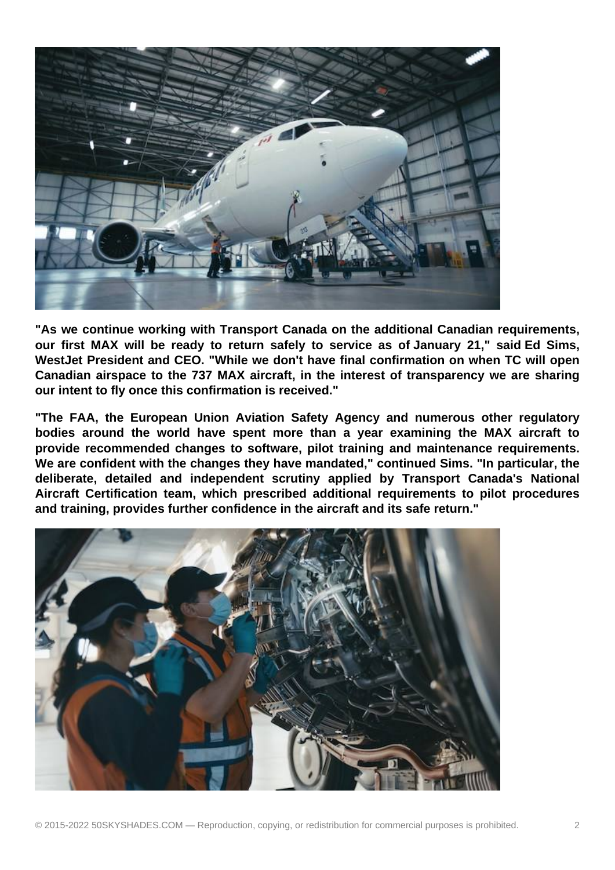

**"As we continue working with Transport Canada on the additional Canadian requirements, our first MAX will be ready to return safely to service as of January 21," said Ed Sims, WestJet President and CEO. "While we don't have final confirmation on when TC will open Canadian airspace to the 737 MAX aircraft, in the interest of transparency we are sharing our intent to fly once this confirmation is received."**

**"The FAA, the European Union Aviation Safety Agency and numerous other regulatory bodies around the world have spent more than a year examining the MAX aircraft to provide recommended changes to software, pilot training and maintenance requirements. We are confident with the changes they have mandated," continued Sims. "In particular, the deliberate, detailed and independent scrutiny applied by Transport Canada's National Aircraft Certification team, which prescribed additional requirements to pilot procedures and training, provides further confidence in the aircraft and its safe return."**